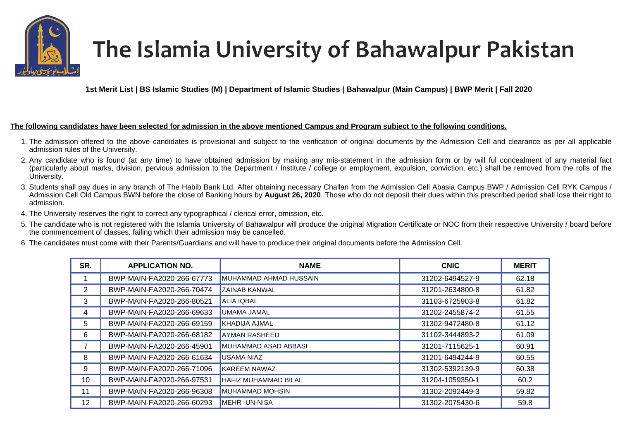

## The Islamia University of Bahawalpur Pakistan

**1st Merit List | BS Islamic Studies (M) | Department of Islamic Studies | Bahawalpur (Main Campus) | BWP Merit | Fall 2020** 

## **The following candidates have been selected for admission in the above mentioned Campus and Program subject to the following conditions.**

- 1. The admission offered to the above candidates is provisional and subject to the verification of original documents by the Admission Cell and clearance as per all applicable admission rules of the University.
- 2. Any candidate who is found (at any time) to have obtained admission by making any mis-statement in the admission form or by will ful concealment of any material fact (particularly about marks, division, pervious admission to the Department / Institute / college or employment, expulsion, conviction, etc.) shall be removed from the rolls of the University.
- 3. Students shall pay dues in any branch of The Habib Bank Ltd. After obtaining necessary Challan from the Admission Cell Abasia Campus BWP / Admission Cell RYK Campus / Admission Cell Old Campus BWN before the close of Banking hours by **August 26, 2020**. Those who do not deposit their dues within this prescribed period shall lose their right to admission.
- 4. The University reserves the right to correct any typographical / clerical error, omission, etc.
- 5. The candidate who is not registered with the Islamia University of Bahawalpur will produce the original Migration Certificate or NOC from their respective University / board before the commencement of classes, failing which their admission may be cancelled.
- 6. The candidates must come with their Parents/Guardians and will have to produce their original documents before the Admission Cell.

| SR. | <b>APPLICATION NO.</b>    | <b>NAME</b>                 | <b>CNIC</b>     | <b>MERIT</b> |
|-----|---------------------------|-----------------------------|-----------------|--------------|
|     | BWP-MAIN-FA2020-266-67773 | MUHAMMAD AHMAD HUSSAIN      | 31202-6494527-9 | 62.18        |
| 2   | BWP-MAIN-FA2020-266-70474 | <b>ZAINAB KANWAL</b>        | 31201-2634800-8 | 61.82        |
| 3   | BWP-MAIN-FA2020-266-80521 | <b>ALIA IQBAL</b>           | 31103-6725903-8 | 61.82        |
| 4   | BWP-MAIN-FA2020-266-69633 | UMAMA JAMAL                 | 31202-2455874-2 | 61.55        |
| 5   | BWP-MAIN-FA2020-266-69159 | KHADIJA AJMAL               | 31302-9472480-8 | 61.12        |
| 6   | BWP-MAIN-FA2020-266-68182 | <b>AYMAN RASHEED</b>        | 31102-3444893-2 | 61.09        |
|     | BWP-MAIN-FA2020-266-45901 | MUHAMMAD ASAD ABBASI        | 31201-7115625-1 | 60.91        |
| 8   | BWP-MAIN-FA2020-266-61634 | <b>USAMA NIAZ</b>           | 31201-6494244-9 | 60.55        |
| 9   | BWP-MAIN-FA2020-266-71096 | <b>KAREEM NAWAZ</b>         | 31302-5392139-9 | 60.38        |
| 10  | BWP-MAIN-FA2020-266-97531 | <b>HAFIZ MUHAMMAD BILAL</b> | 31204-1059350-1 | 60.2         |
| 11  | BWP-MAIN-FA2020-266-96308 | <b>MUHAMMAD MOHSIN</b>      | 31302-2092449-3 | 59.82        |
| 12  | BWP-MAIN-FA2020-266-60293 | MEHR -UN-NISA               | 31302-2075430-6 | 59.8         |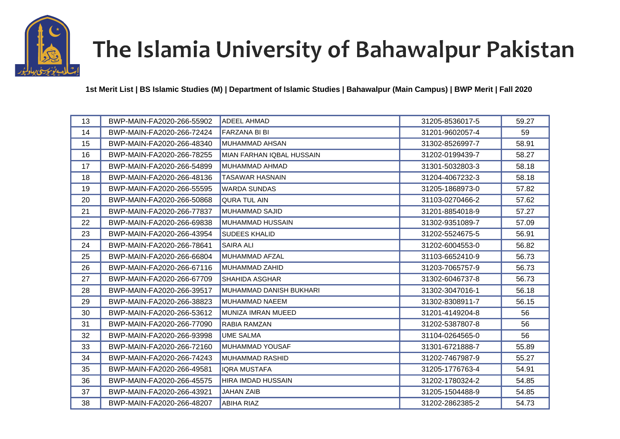

## The Islamia University of Bahawalpur Pakistan

**1st Merit List | BS Islamic Studies (M) | Department of Islamic Studies | Bahawalpur (Main Campus) | BWP Merit | Fall 2020** 

| 13 | BWP-MAIN-FA2020-266-55902 | <b>ADEEL AHMAD</b>        | 31205-8536017-5 | 59.27 |
|----|---------------------------|---------------------------|-----------------|-------|
| 14 | BWP-MAIN-FA2020-266-72424 | FARZANA BI BI             | 31201-9602057-4 | 59    |
| 15 | BWP-MAIN-FA2020-266-48340 | MUHAMMAD AHSAN            | 31302-8526997-7 | 58.91 |
| 16 | BWP-MAIN-FA2020-266-78255 | MIAN FARHAN IQBAL HUSSAIN | 31202-0199439-7 | 58.27 |
| 17 | BWP-MAIN-FA2020-266-54899 | MUHAMMAD AHMAD            | 31301-5032803-3 | 58.18 |
| 18 | BWP-MAIN-FA2020-266-48136 | <b>TASAWAR HASNAIN</b>    | 31204-4067232-3 | 58.18 |
| 19 | BWP-MAIN-FA2020-266-55595 | <b>WARDA SUNDAS</b>       | 31205-1868973-0 | 57.82 |
| 20 | BWP-MAIN-FA2020-266-50868 | <b>QURA TUL AIN</b>       | 31103-0270466-2 | 57.62 |
| 21 | BWP-MAIN-FA2020-266-77837 | MUHAMMAD SAJID            | 31201-8854018-9 | 57.27 |
| 22 | BWP-MAIN-FA2020-266-69838 | MUHAMMAD HUSSAIN          | 31302-9351089-7 | 57.09 |
| 23 | BWP-MAIN-FA2020-266-43954 | <b>SUDEES KHALID</b>      | 31202-5524675-5 | 56.91 |
| 24 | BWP-MAIN-FA2020-266-78641 | <b>SAIRA ALI</b>          | 31202-6004553-0 | 56.82 |
| 25 | BWP-MAIN-FA2020-266-66804 | MUHAMMAD AFZAL            | 31103-6652410-9 | 56.73 |
| 26 | BWP-MAIN-FA2020-266-67116 | MUHAMMAD ZAHID            | 31203-7065757-9 | 56.73 |
| 27 | BWP-MAIN-FA2020-266-67709 | <b>SHAHIDA ASGHAR</b>     | 31302-6046737-8 | 56.73 |
| 28 | BWP-MAIN-FA2020-266-39517 | MUHAMMAD DANISH BUKHARI   | 31302-3047016-1 | 56.18 |
| 29 | BWP-MAIN-FA2020-266-38823 | MUHAMMAD NAEEM            | 31302-8308911-7 | 56.15 |
| 30 | BWP-MAIN-FA2020-266-53612 | MUNIZA IMRAN MUEED        | 31201-4149204-8 | 56    |
| 31 | BWP-MAIN-FA2020-266-77090 | RABIA RAMZAN              | 31202-5387807-8 | 56    |
| 32 | BWP-MAIN-FA2020-266-93998 | <b>UME SALMA</b>          | 31104-0264565-0 | 56    |
| 33 | BWP-MAIN-FA2020-266-72160 | MUHAMMAD YOUSAF           | 31301-6721888-7 | 55.89 |
| 34 | BWP-MAIN-FA2020-266-74243 | <b>MUHAMMAD RASHID</b>    | 31202-7467987-9 | 55.27 |
| 35 | BWP-MAIN-FA2020-266-49581 | <b>IQRA MUSTAFA</b>       | 31205-1776763-4 | 54.91 |
| 36 | BWP-MAIN-FA2020-266-45575 | HIRA IMDAD HUSSAIN        | 31202-1780324-2 | 54.85 |
| 37 | BWP-MAIN-FA2020-266-43921 | <b>JAHAN ZAIB</b>         | 31205-1504488-9 | 54.85 |
| 38 | BWP-MAIN-FA2020-266-48207 | <b>ABIHA RIAZ</b>         | 31202-2862385-2 | 54.73 |